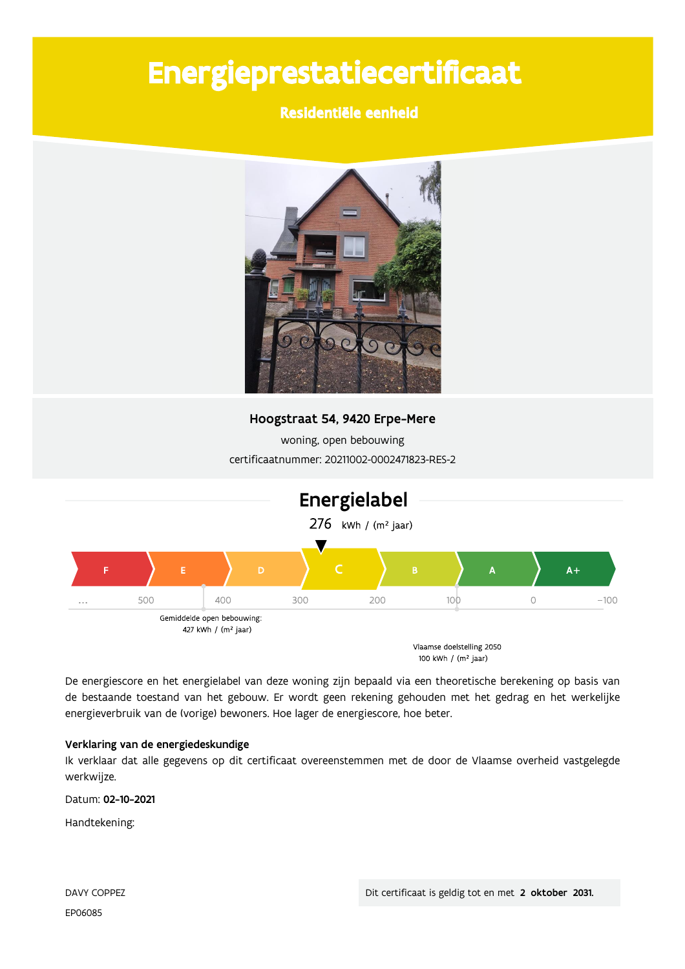# Energieprestatiecertificaat

### Residentiële eenheid



### Hoogstraat 54, 9420 Erpe-Mere

woning, open bebouwing certificaatnummer: 20211002-0002471823-RES-2



100 kWh / (m<sup>2</sup> jaar)

De energiescore en het energielabel van deze woning zijn bepaald via een theoretische berekening op basis van de bestaande toestand van het gebouw. Er wordt geen rekening gehouden met het gedrag en het werkelijke energieverbruik van de (vorige) bewoners. Hoe lager de energiescore, hoe beter.

#### Verklaring van de energiedeskundige

Ik verklaar dat alle gegevens op dit certificaat overeenstemmen met de door de Vlaamse overheid vastgelegde werkwijze.

Datum: 02-10-2021

Handtekening: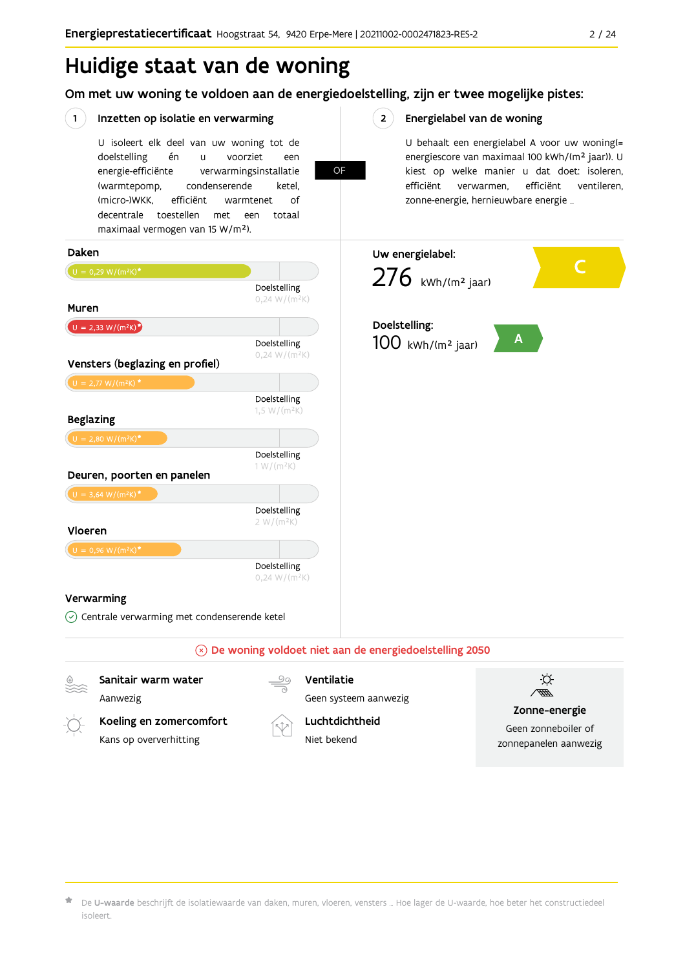## Huidige staat van de woning

### Om met uw woning te voldoen aan de energiedoelstelling, zijn er twee mogelijke pistes:

OF

 $2<sup>7</sup>$ 

#### $(1)$ Inzetten op isolatie en verwarming

U isoleert elk deel van uw woning tot de doelstelling én voorziet  $\mathbf{u}$ een energie-efficiënte verwarmingsinstallatie (warmtepomp, condenserende ketel. (micro-)WKK. efficiënt warmtenet  $\bigcap_{ }$ decentrale toestellen met een totaal maximaal vermogen van 15 W/m<sup>2</sup>).

Energielabel van de woning

U behaalt een energielabel A voor uw woning(= energiescore van maximaal 100 kWh/(m<sup>2</sup> jaar)). U kiest op welke manier u dat doet: isoleren, efficiënt efficiënt ventileren, verwarmen, zonne-energie, hernieuwbare energie ...



Aanwezig

Koeling en zomercomfort Kans op oververhitting



Geen systeem aanwezig Luchtdichtheid

Niet bekend



Zonne-energie

Geen zonneboiler of zonnepanelen aanwezig

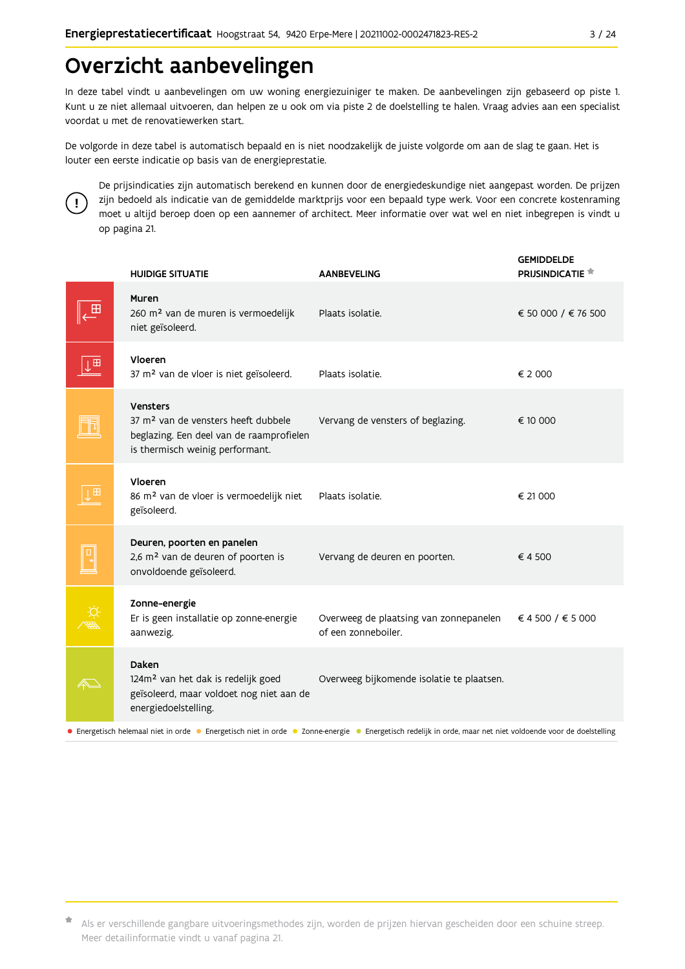## Overzicht aanbevelingen

In deze tabel vindt u aanbevelingen om uw woning energiezuiniger te maken. De aanbevelingen zijn gebaseerd op piste 1. Kunt u ze niet allemaal uitvoeren, dan helpen ze u ook om via piste 2 de doelstelling te halen. Vraag advies aan een specialist voordat u met de renovatiewerken start.

De volgorde in deze tabel is automatisch bepaald en is niet noodzakelijk de juiste volgorde om aan de slag te gaan. Het is louter een eerste indicatie op basis van de energieprestatie.



De prijsindicaties zijn automatisch berekend en kunnen door de energiedeskundige niet aangepast worden. De prijzen zijn bedoeld als indicatie van de gemiddelde marktprijs voor een bepaald type werk. Voor een concrete kostenraming moet u altijd beroep doen op een aannemer of architect. Meer informatie over wat wel en niet inbegrepen is vindt u op pagina 21.

|                                                                                                                                                             | <b>HUIDIGE SITUATIE</b>                                                                                                                    | <b>AANBEVELING</b>                                            | <b>GEMIDDELDE</b><br><b>PRIJSINDICATIE</b> |  |  |  |
|-------------------------------------------------------------------------------------------------------------------------------------------------------------|--------------------------------------------------------------------------------------------------------------------------------------------|---------------------------------------------------------------|--------------------------------------------|--|--|--|
| ⊞                                                                                                                                                           | Muren<br>260 m <sup>2</sup> van de muren is vermoedelijk<br>niet geïsoleerd.                                                               | Plaats isolatie.                                              | € 50 000 / € 76 500                        |  |  |  |
| H                                                                                                                                                           | Vloeren<br>37 m <sup>2</sup> van de vloer is niet geïsoleerd.                                                                              | Plaats isolatie.                                              | € 2 000                                    |  |  |  |
|                                                                                                                                                             | Vensters<br>37 m <sup>2</sup> van de vensters heeft dubbele<br>beglazing. Een deel van de raamprofielen<br>is thermisch weinig performant. | Vervang de vensters of beglazing.                             | € 10 000                                   |  |  |  |
| $\mathbf{H}$                                                                                                                                                | Vloeren<br>86 m <sup>2</sup> van de vloer is vermoedelijk niet<br>geïsoleerd.                                                              | Plaats isolatie.                                              | € 21 000                                   |  |  |  |
|                                                                                                                                                             | Deuren, poorten en panelen<br>2,6 m <sup>2</sup> van de deuren of poorten is<br>onvoldoende geïsoleerd.                                    | Vervang de deuren en poorten.                                 | €4500                                      |  |  |  |
|                                                                                                                                                             | Zonne-energie<br>Er is geen installatie op zonne-energie<br>aanwezig.                                                                      | Overweeg de plaatsing van zonnepanelen<br>of een zonneboiler. | € 4 500 / € 5 000                          |  |  |  |
|                                                                                                                                                             | Daken<br>124m <sup>2</sup> van het dak is redelijk goed<br>geïsoleerd, maar voldoet nog niet aan de<br>energiedoelstelling.                | Overweeg bijkomende isolatie te plaatsen.                     |                                            |  |  |  |
| • Energetisch helemaal niet in orde • Energetisch niet in orde • Zonne-energie • Energetisch redelijk in orde, maar net niet voldoende voor de doelstelling |                                                                                                                                            |                                                               |                                            |  |  |  |

Als er verschillende gangbare uitvoeringsmethodes zijn, worden de prijzen hiervan gescheiden door een schuine streep. Meer detailinformatie vindt u vanaf pagina 21.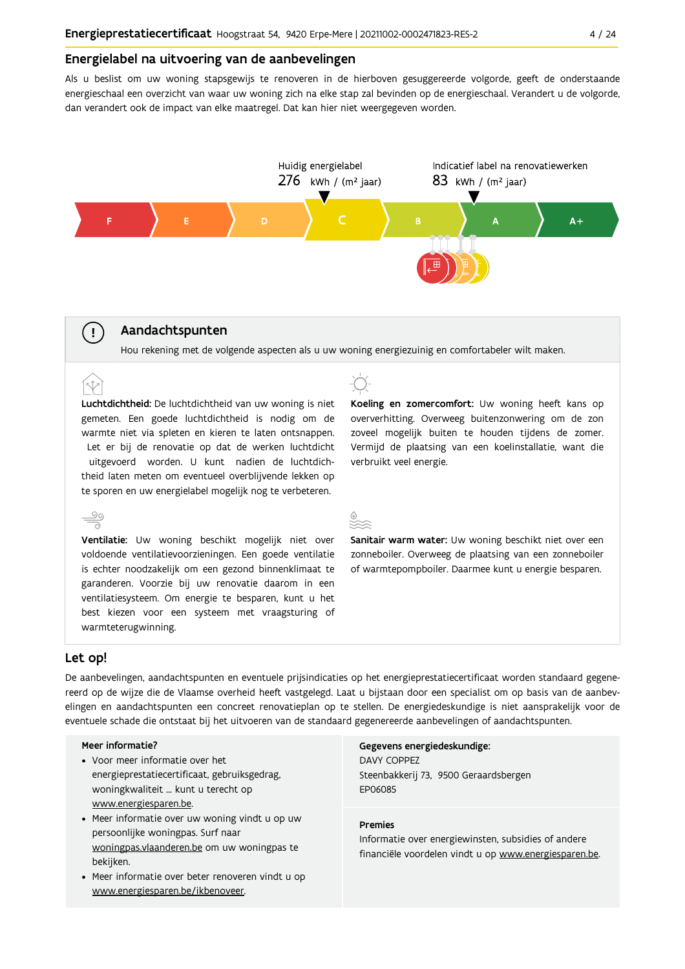#### Energielabel na uitvoering van de aanbevelingen

Als u beslist om uw woning stapsgewijs te renoveren in de hierboven gesuggereerde volgorde, geeft de onderstaande energieschaal een overzicht van waar uw woning zich na elke stap zal bevinden op de energieschaal. Verandert u de volgorde, dan verandert ook de impact van elke maatregel. Dat kan hier niet weergegeven worden.



#### Aandachtspunten

Hou rekening met de volgende aspecten als u uw woning energiezuinig en comfortabeler wilt maken.

Luchtdichtheid: De luchtdichtheid van uw woning is niet gemeten. Een goede luchtdichtheid is nodig om de warmte niet via spleten en kieren te laten ontsnappen. Let er bij de renovatie op dat de werken luchtdicht uitgevoerd worden. U kunt nadien de luchtdichtheid laten meten om eventueel overblijvende lekken op te sporen en uw energielabel mogelijk nog te verbeteren.



Koeling en zomercomfort: Uw woning heeft kans op oververhitting. Overweeg buitenzonwering om de zon zoveel mogelijk buiten te houden tijdens de zomer. Vermijd de plaatsing van een koelinstallatie, want die verbruikt veel energie.

Sanitair warm water: Uw woning beschikt niet over een zonneboiler. Overweeg de plaatsing van een zonneboiler of warmtepompboiler. Daarmee kunt u energie besparen.

#### Let op!

 $(\bot)$ 

 $\hat{N}$ 

De aanbevelingen, aandachtspunten en eventuele prijsindicaties op het energieprestatiecertificaat worden standaard gegenereerd op de wijze die de Vlaamse overheid heeft vastgelegd. Laat u bijstaan door een specialist om op basis van de aanbevelingen en aandachtspunten een concreet renovatieplan op te stellen. De energiedeskundige is niet aansprakelijk voor de eventuele schade die ontstaat bij het uitvoeren van de standaard gegenereerde aanbevelingen of aandachtspunten.

#### Meer informatie?

- Voor meer informatie over het energieprestatiecertificaat, gebruiksgedrag, woningkwaliteit ... kunt u terecht op www.energiesparen.be.
- Meer informatie over uw woning vindt u op uw persoonlijke woningpas. Surf naar woningpas.vlaanderen.be om uw woningpas te bekijken.
- Meer informatie over beter renoveren vindt u op www.energiesparen.be/ikbenoveer.

Gegevens energiedeskundige: **DAVY COPPEZ** Steenbakkerij 73, 9500 Geraardsbergen **FP06085** 

#### **Premies**

Informatie over energiewinsten, subsidies of andere financiële voordelen vindt u op www.energiesparen.be.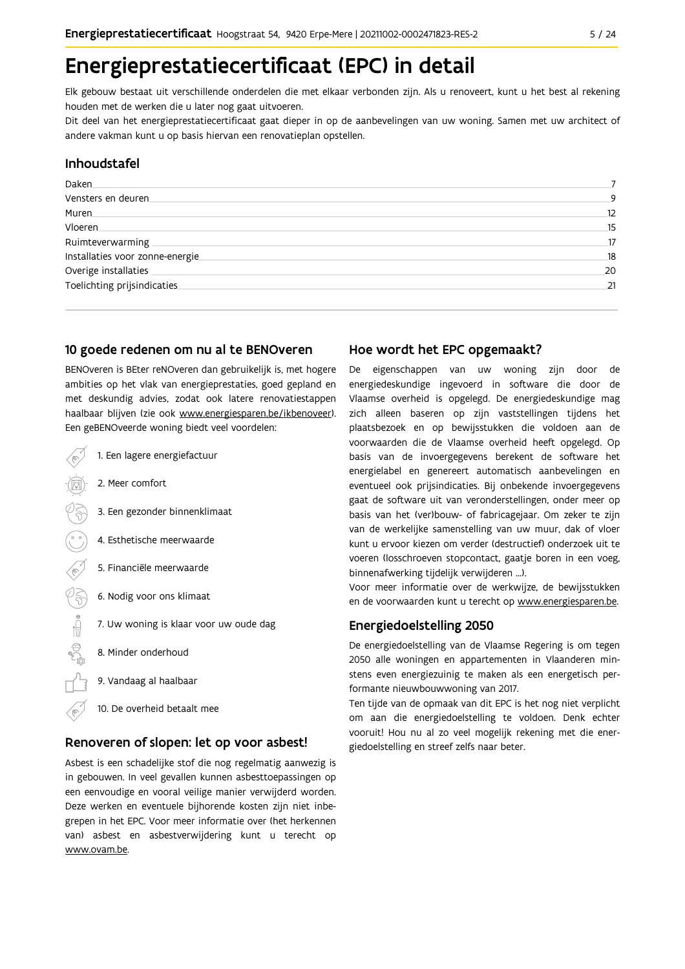## Energieprestatiecertificaat (EPC) in detail

Elk gebouw bestaat uit verschillende onderdelen die met elkaar verbonden zijn. Als u renoveert, kunt u het best al rekening houden met de werken die u later nog gaat uitvoeren.

Dit deel van het energieprestatiecertificaat gaat dieper in op de aanbevelingen van uw woning. Samen met uw architect of andere vakman kunt u op basis hiervan een renovatieplan opstellen.

### Inhoudstafel

| Daken.                           |    |
|----------------------------------|----|
| Vensters en deuren.              | 9  |
| Muren.                           | 12 |
| Vloeren                          | 15 |
| Ruimteverwarming                 | 17 |
| Installaties voor zonne-energie. | 18 |
| Overige installaties             | 20 |
| Toelichting prijsindicaties      | 21 |
|                                  |    |

### 10 goede redenen om nu al te BENOveren

BENOveren is BEter reNOveren dan gebruikelijk is, met hogere ambities op het vlak van energieprestaties, goed gepland en met deskundig advies, zodat ook latere renovatiestappen haalbaar blijven (zie ook www.energiesparen.be/ikbenoveer). Fen geBENOveerde woning biedt veel voordelen:

| Let be provided to morning bread vect voor acters. |                                        |  |  |  |  |  |
|----------------------------------------------------|----------------------------------------|--|--|--|--|--|
|                                                    | 1. Een lagere energiefactuur           |  |  |  |  |  |
|                                                    | 2. Meer comfort                        |  |  |  |  |  |
|                                                    | 3. Een gezonder binnenklimaat          |  |  |  |  |  |
|                                                    | 4. Esthetische meerwaarde              |  |  |  |  |  |
| ς                                                  | 5. Financiële meerwaarde               |  |  |  |  |  |
|                                                    | 6. Nodig voor ons klimaat              |  |  |  |  |  |
|                                                    | 7. Uw woning is klaar voor uw oude dag |  |  |  |  |  |
|                                                    | 8. Minder onderhoud                    |  |  |  |  |  |
|                                                    | 9. Vandaag al haalbaar                 |  |  |  |  |  |

10. De overheid betaalt mee

#### Renoveren of slopen: let op voor asbest!

Asbest is een schadelijke stof die nog regelmatig aanwezig is in gebouwen. In veel gevallen kunnen asbesttoepassingen op een eenvoudige en vooral veilige manier verwijderd worden. Deze werken en eventuele bijhorende kosten zijn niet inbegrepen in het EPC. Voor meer informatie over (het herkennen van) asbest en asbestverwijdering kunt u terecht op www.ovam.be.

### Hoe wordt het EPC opgemaakt?

De eigenschappen van uw woning zijn door de energiedeskundige ingevoerd in software die door de Vlaamse overheid is opgelegd. De energiedeskundige mag zich alleen baseren op zijn vaststellingen tijdens het plaatsbezoek en op bewijsstukken die voldoen aan de voorwaarden die de Vlaamse overheid heeft opgelegd. Op basis van de invoergegevens berekent de software het energielabel en genereert automatisch aanbevelingen en eventueel ook prijsindicaties. Bij onbekende invoergegevens gaat de software uit van veronderstellingen, onder meer op basis van het (ver)bouw- of fabricagejaar. Om zeker te zijn van de werkelijke samenstelling van uw muur, dak of vloer kunt u ervoor kiezen om verder (destructief) onderzoek uit te voeren (losschroeven stopcontact, gaatje boren in een voeg, binnenafwerking tijdelijk verwijderen ...).

Voor meer informatie over de werkwijze, de bewijsstukken en de voorwaarden kunt u terecht op www.energiesparen.be.

### **Energiedoelstelling 2050**

De energiedoelstelling van de Vlaamse Regering is om tegen 2050 alle woningen en appartementen in Vlaanderen minstens even energiezuinig te maken als een energetisch performante nieuwbouwwoning van 2017.

Ten tijde van de opmaak van dit EPC is het nog niet verplicht om aan die energiedoelstelling te voldoen. Denk echter vooruit! Hou nu al zo veel mogelijk rekening met die energiedoelstelling en streef zelfs naar beter.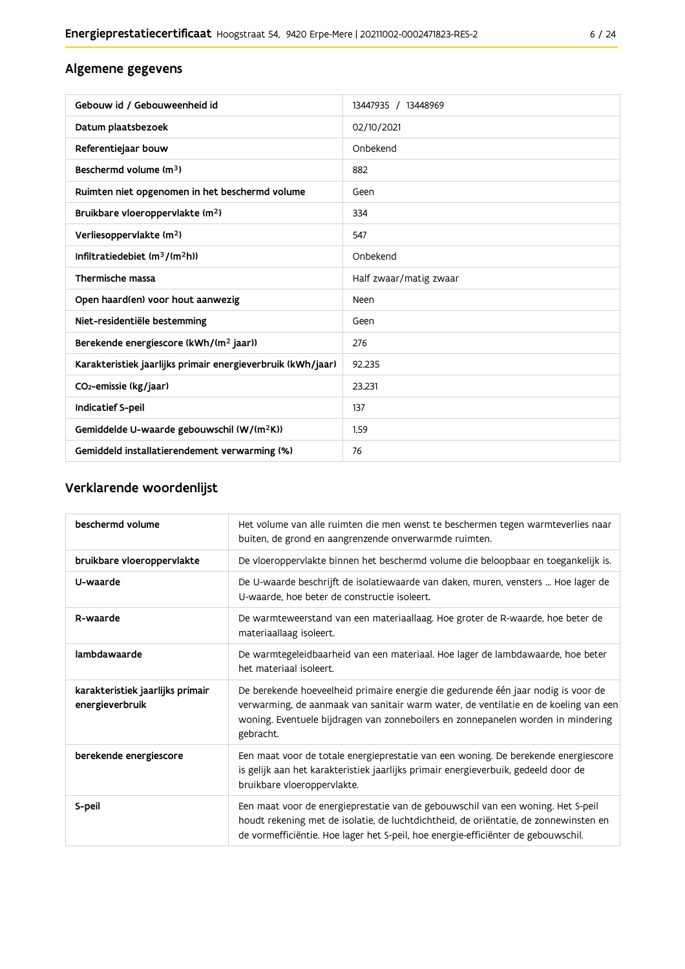### Algemene gegevens

| Gebouw id / Gebouweenheid id                                | 13447935 / 13448969    |
|-------------------------------------------------------------|------------------------|
| Datum plaatsbezoek                                          | 02/10/2021             |
| Referentiejaar bouw                                         | Onbekend               |
| Beschermd volume (m <sup>3</sup> )                          | 882                    |
| Ruimten niet opgenomen in het beschermd volume              | Geen                   |
| Bruikbare vloeroppervlakte (m <sup>2</sup> )                | 334                    |
| Verliesoppervlakte (m <sup>2</sup> )                        | 547                    |
| Infiltratiedebiet $(m^3/(m^2h))$                            | Onbekend               |
| Thermische massa                                            | Half zwaar/matig zwaar |
| Open haard(en) voor hout aanwezig                           | Neen                   |
| Niet-residentiële bestemming                                | Geen                   |
| Berekende energiescore (kWh/(m <sup>2</sup> jaar))          | 276                    |
| Karakteristiek jaarlijks primair energieverbruik (kWh/jaar) | 92.235                 |
| CO2-emissie (kg/jaar)                                       | 23.231                 |
| Indicatief S-peil                                           | 137                    |
| Gemiddelde U-waarde gebouwschil (W/(m <sup>2</sup> K))      | 1,59                   |
| Gemiddeld installatierendement verwarming (%)               | 76                     |

## Verklarende woordenlijst

| beschermd volume                                    | Het volume van alle ruimten die men wenst te beschermen tegen warmteverlies naar<br>buiten, de grond en aangrenzende onverwarmde ruimten.                                                                                                                                 |
|-----------------------------------------------------|---------------------------------------------------------------------------------------------------------------------------------------------------------------------------------------------------------------------------------------------------------------------------|
| bruikbare vloeroppervlakte                          | De vloeroppervlakte binnen het beschermd volume die beloopbaar en toegankelijk is.                                                                                                                                                                                        |
| U-waarde                                            | De U-waarde beschrijft de isolatiewaarde van daken, muren, vensters  Hoe lager de<br>U-waarde, hoe beter de constructie isoleert.                                                                                                                                         |
| R-waarde                                            | De warmteweerstand van een materiaallaag. Hoe groter de R-waarde, hoe beter de<br>materiaallaag isoleert.                                                                                                                                                                 |
| lambdawaarde                                        | De warmtegeleidbaarheid van een materiaal. Hoe lager de lambdawaarde, hoe beter<br>het materiaal isoleert.                                                                                                                                                                |
| karakteristiek jaarlijks primair<br>energieverbruik | De berekende hoeveelheid primaire energie die gedurende één jaar nodig is voor de<br>verwarming, de aanmaak van sanitair warm water, de ventilatie en de koeling van een<br>woning. Eventuele bijdragen van zonneboilers en zonnepanelen worden in mindering<br>gebracht. |
| berekende energiescore                              | Een maat voor de totale energieprestatie van een woning. De berekende energiescore<br>is gelijk aan het karakteristiek jaarlijks primair energieverbuik, gedeeld door de<br>bruikbare vloeroppervlakte.                                                                   |
| S-peil                                              | Een maat voor de energieprestatie van de gebouwschil van een woning. Het S-peil<br>houdt rekening met de isolatie, de luchtdichtheid, de oriëntatie, de zonnewinsten en<br>de vormefficiëntie. Hoe lager het S-peil, hoe energie-efficiënter de gebouwschil.              |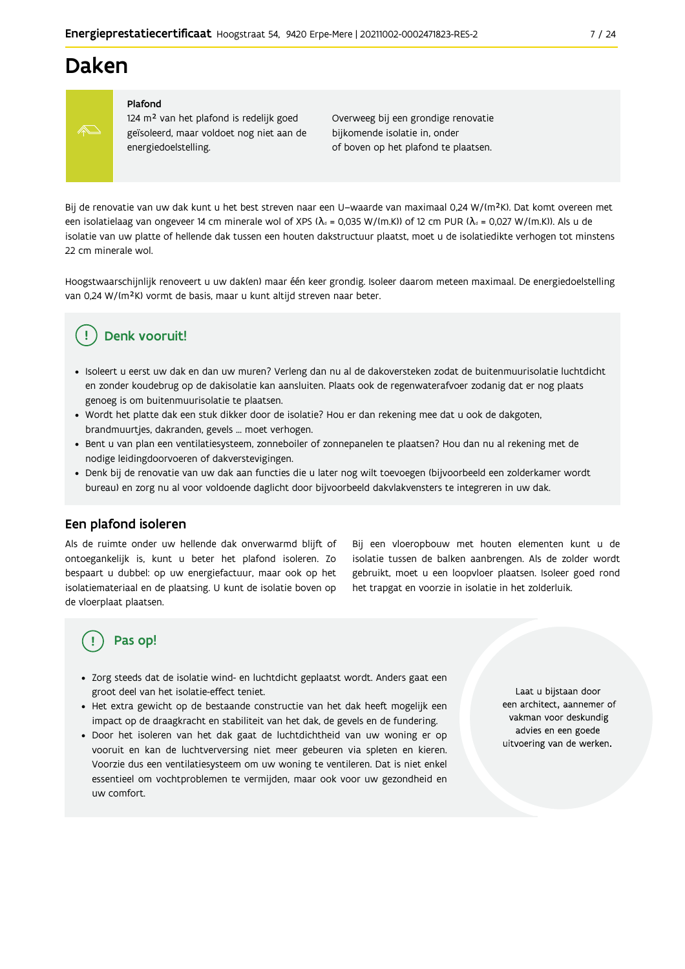## **Daken**



#### Plafond

124 m<sup>2</sup> van het plafond is redelijk goed geïsoleerd, maar voldoet nog niet aan de energiedoelstelling.

Overweeg bij een grondige renovatie bijkomende isolatie in, onder of boven op het plafond te plaatsen.

Bij de renovatie van uw dak kunt u het best streven naar een U-waarde van maximaal 0,24 W/(m<sup>2</sup>K). Dat komt overeen met een isolatielaag van ongeveer 14 cm minerale wol of XPS ( $\lambda_a$  = 0,035 W/(m.K)) of 12 cm PUR ( $\lambda_a$  = 0,027 W/(m.K)). Als u de isolatie van uw platte of hellende dak tussen een houten dakstructuur plaatst, moet u de isolatiedikte verhogen tot minstens 22 cm minerale wol

Hoogstwaarschijnlijk renoveert u uw dak(en) maar één keer grondig. Isoleer daarom meteen maximaal. De energiedoelstelling van 0,24 W/(m<sup>2</sup>K) vormt de basis, maar u kunt altijd streven naar beter.

## Denk vooruit!

- · Isoleert u eerst uw dak en dan uw muren? Verleng dan nu al de dakoversteken zodat de buitenmuurisolatie luchtdicht en zonder koudebrug op de dakisolatie kan aansluiten. Plaats ook de regenwaterafvoer zodanig dat er nog plaats genoeg is om buitenmuurisolatie te plaatsen.
- · Wordt het platte dak een stuk dikker door de isolatie? Hou er dan rekening mee dat u ook de dakgoten, brandmuurtjes, dakranden, gevels ... moet verhogen.
- · Bent u van plan een ventilatiesysteem, zonneboiler of zonnepanelen te plaatsen? Hou dan nu al rekening met de nodige leidingdoorvoeren of dakverstevigingen.
- · Denk bij de renovatie van uw dak aan functies die u later nog wilt toevoegen (bijvoorbeeld een zolderkamer wordt bureau) en zorg nu al voor voldoende daglicht door bijvoorbeeld dakvlakvensters te integreren in uw dak.

#### Een plafond isoleren

Als de ruimte onder uw hellende dak onverwarmd blijft of ontoegankelijk is, kunt u beter het plafond isoleren. Zo bespaart u dubbel: op uw energiefactuur, maar ook op het isolatiemateriaal en de plaatsing. U kunt de isolatie boven op de vloerplaat plaatsen.

Bij een vloeropbouw met houten elementen kunt u de isolatie tussen de balken aanbrengen. Als de zolder wordt gebruikt, moet u een loopvloer plaatsen. Isoleer goed rond het trapgat en voorzie in isolatie in het zolderluik.

## Pas op!

- · Zorg steeds dat de isolatie wind- en luchtdicht geplaatst wordt. Anders gaat een groot deel van het isolatie-effect teniet.
- Het extra gewicht op de bestaande constructie van het dak heeft mogelijk een impact op de draagkracht en stabiliteit van het dak, de gevels en de fundering.
- · Door het isoleren van het dak gaat de luchtdichtheid van uw woning er op vooruit en kan de luchtverversing niet meer gebeuren via spleten en kieren. Voorzie dus een ventilatiesysteem om uw woning te ventileren. Dat is niet enkel essentieel om vochtproblemen te vermijden, maar ook voor uw gezondheid en uw comfort.

Laat u bijstaan door een architect, aannemer of vakman voor deskundig advies en een goede uitvoering van de werken.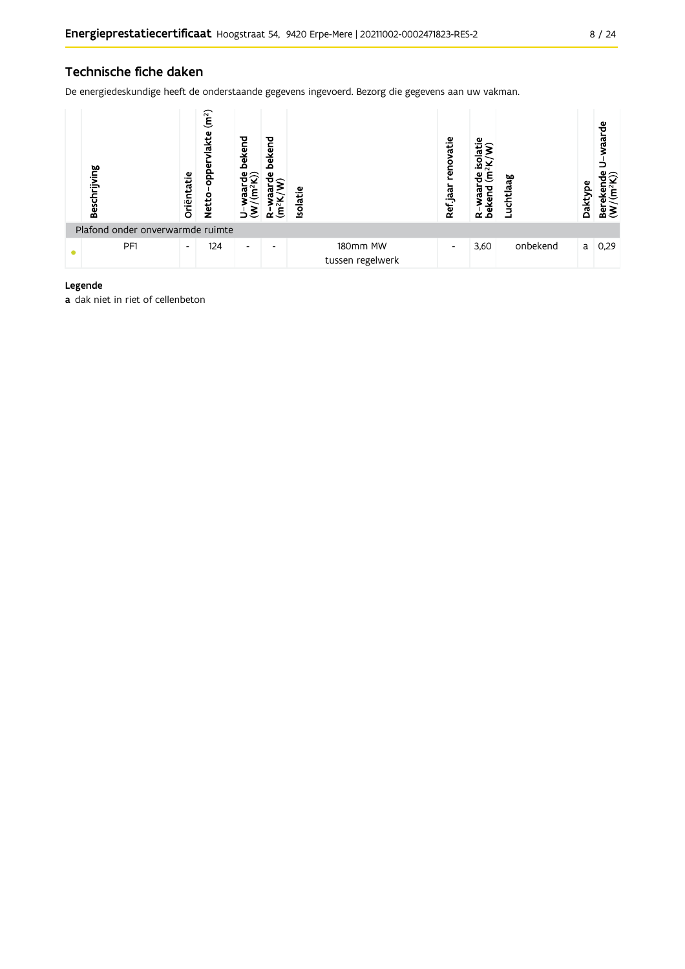### Technische fiche daken

De energiedeskundige heeft de onderstaande gegevens ingevoerd. Bezorg die gegevens aan uw vakman.

| Beschrijving                     | Oriëntatie               | (m <sup>2</sup> )<br>akte<br><b>a</b> do<br>Netto | bekend<br>$\bullet \subset$ | bekend<br>Φ<br>ξ<br>≃ | <b>Isolatie</b>              | renovatie<br>Ref jaar | ω<br>Ε<br>vaar<br>bekend<br>$\alpha$ | ಕ್ಲ<br>Luchtla | Daktype | waarde<br>ីទី<br>Bereken<br>(W/(m <sup>2</sup> l |
|----------------------------------|--------------------------|---------------------------------------------------|-----------------------------|-----------------------|------------------------------|-----------------------|--------------------------------------|----------------|---------|--------------------------------------------------|
| Plafond onder onverwarmde ruimte |                          |                                                   |                             |                       |                              |                       |                                      |                |         |                                                  |
| PF1                              | $\overline{\phantom{a}}$ | 124                                               | $\overline{\phantom{a}}$    |                       | 180mm MW<br>tussen regelwerk | -                     | 3,60                                 | onbekend       | a       | 0,29                                             |

#### Legende

a dak niet in riet of cellenbeton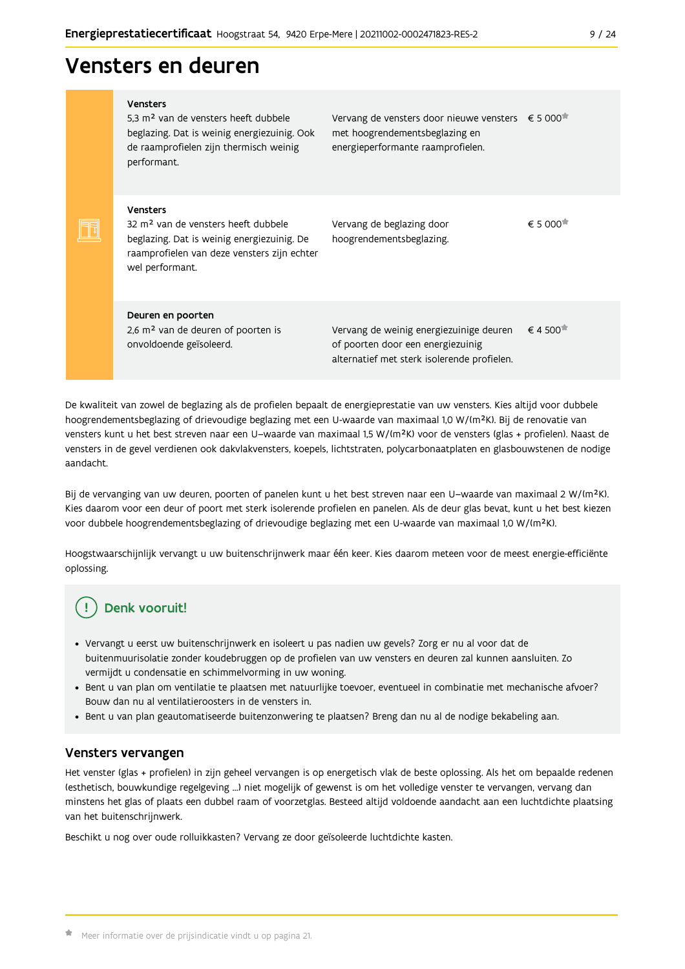## Vensters en deuren

|  | <b>Vensters</b><br>5.3 m <sup>2</sup> van de vensters heeft dubbele<br>beglazing. Dat is weinig energiezuinig. Ook<br>de raamprofielen zijn thermisch weinig<br>performant.        | Vervang de vensters door nieuwe vensters $\epsilon$ 5 000 <sup>*</sup><br>met hoogrendementsbeglazing en<br>energieperformante raamprofielen. |                                              |
|--|------------------------------------------------------------------------------------------------------------------------------------------------------------------------------------|-----------------------------------------------------------------------------------------------------------------------------------------------|----------------------------------------------|
|  | <b>Vensters</b><br>32 m <sup>2</sup> van de vensters heeft dubbele<br>beglazing. Dat is weinig energiezuinig. De<br>raamprofielen van deze vensters zijn echter<br>wel performant. | Vervang de beglazing door<br>hoogrendementsbeglazing.                                                                                         | € 5 000 <sup><math>#</math></sup>            |
|  | Deuren en poorten<br>2,6 m <sup>2</sup> van de deuren of poorten is<br>onvoldoende geïsoleerd.                                                                                     | Vervang de weinig energiezuinige deuren<br>of poorten door een energiezuinig<br>alternatief met sterk isolerende profielen.                   | $\epsilon$ 4 500 <sup><math>\pi</math></sup> |

De kwaliteit van zowel de beglazing als de profielen bepaalt de energieprestatie van uw vensters. Kies altijd voor dubbele hoogrendementsbeglazing of drievoudige beglazing met een U-waarde van maximaal 1,0 W/(m<sup>2</sup>K). Bij de renovatie van vensters kunt u het best streven naar een U-waarde van maximaal 1,5 W/(m<sup>2</sup>K) voor de vensters (glas + profielen). Naast de vensters in de gevel verdienen ook dakvlakvensters, koepels, lichtstraten, polycarbonaatplaten en glasbouwstenen de nodige aandacht.

Bij de vervanging van uw deuren, poorten of panelen kunt u het best streven naar een U-waarde van maximaal 2 W/(m<sup>2</sup>K). Kies daarom voor een deur of poort met sterk isolerende profielen en panelen. Als de deur glas bevat, kunt u het best kiezen voor dubbele hoogrendementsbeglazing of drievoudige beglazing met een U-waarde van maximaal 1,0 W/(m<sup>2</sup>K).

Hoogstwaarschijnlijk vervangt u uw buitenschrijnwerk maar één keer. Kies daarom meteen voor de meest energie-efficiënte oplossing.

## Denk vooruit!

- · Vervangt u eerst uw buitenschrijnwerk en isoleert u pas nadien uw gevels? Zorg er nu al voor dat de buitenmuurisolatie zonder koudebruggen op de profielen van uw vensters en deuren zal kunnen aansluiten. Zo vermijdt u condensatie en schimmelvorming in uw woning.
- Bent u van plan om ventilatie te plaatsen met natuurlijke toevoer, eventueel in combinatie met mechanische afvoer? Bouw dan nu al ventilatieroosters in de vensters in.
- · Bent u van plan geautomatiseerde buitenzonwering te plaatsen? Breng dan nu al de nodige bekabeling aan.

#### Vensters vervangen

Het venster (glas + profielen) in zijn geheel vervangen is op energetisch vlak de beste oplossing. Als het om bepaalde redenen (esthetisch, bouwkundige regelgeving ...) niet mogelijk of gewenst is om het volledige venster te vervangen, vervang dan minstens het glas of plaats een dubbel raam of voorzetglas. Besteed altijd voldoende aandacht aan een luchtdichte plaatsing van het buitenschrijnwerk.

Beschikt u nog over oude rolluikkasten? Vervang ze door geïsoleerde luchtdichte kasten.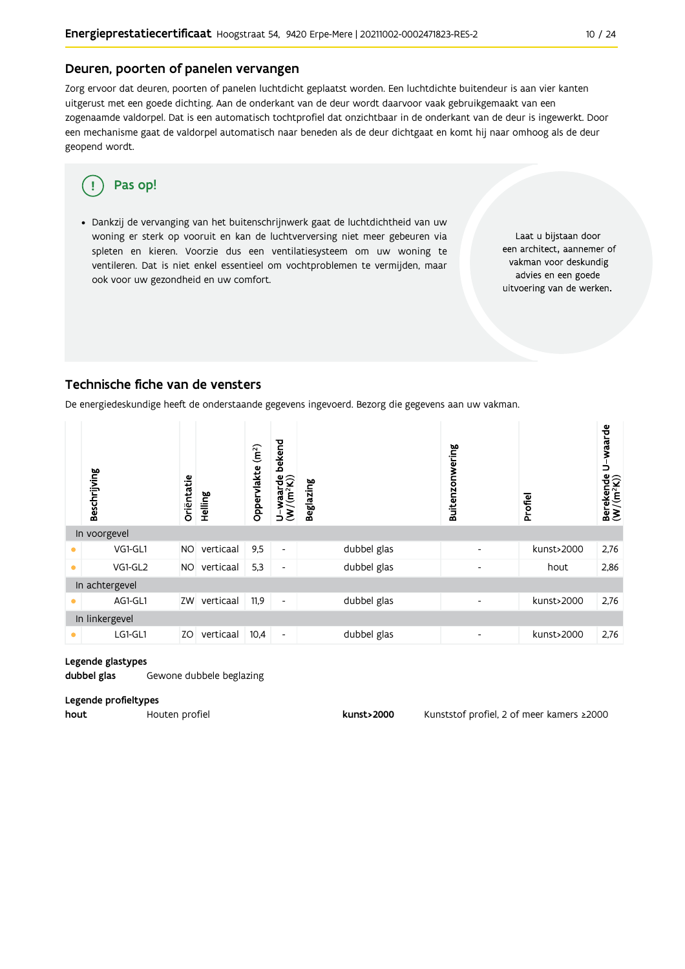#### Deuren, poorten of panelen vervangen

Zorg ervoor dat deuren, poorten of panelen luchtdicht geplaatst worden. Een luchtdichte buitendeur is aan vier kanten uitgerust met een goede dichting. Aan de onderkant van de deur wordt daarvoor vaak gebruikgemaakt van een zogenaamde valdorpel. Dat is een automatisch tochtprofiel dat onzichtbaar in de onderkant van de deur is ingewerkt. Door een mechanisme gaat de valdorpel automatisch naar beneden als de deur dichtgaat en komt hij naar omhoog als de deur geopend wordt.

#### Pas op! q

· Dankzij de vervanging van het buitenschrijnwerk gaat de luchtdichtheid van uw woning er sterk op vooruit en kan de luchtverversing niet meer gebeuren via spleten en kieren. Voorzie dus een ventilatiesysteem om uw woning te ventileren. Dat is niet enkel essentieel om vochtproblemen te vermijden, maar ook voor uw gezondheid en uw comfort.

Laat u bijstaan door een architect, aannemer of vakman voor deskundig advies en een goede uitvoering van de werken.

#### Technische fiche van de vensters

De energiedeskundige heeft de onderstaande gegevens ingevoerd. Bezorg die gegevens aan uw vakman.

|           | Beschrijving   | Oriëntatie | Helling   | (m <sup>2</sup> )<br>Oppervlakte | bekend<br>$U$ -waarde<br>(W/(m <sup>2</sup> K)) | <b>Beglazing</b> | Buitenzonwering          | Profiel    | Berekende U-waarde<br>(W/(m <sup>2</sup> K)) |  |  |
|-----------|----------------|------------|-----------|----------------------------------|-------------------------------------------------|------------------|--------------------------|------------|----------------------------------------------|--|--|
|           | In voorgevel   |            |           |                                  |                                                 |                  |                          |            |                                              |  |  |
|           | VG1-GL1        | <b>NO</b>  | verticaal | 9,5                              | $\blacksquare$                                  | dubbel glas      | $\overline{\phantom{a}}$ | kunst>2000 | 2,76                                         |  |  |
| $\bullet$ | VG1-GL2        | <b>NO</b>  | verticaal | 5,3                              | $\overline{\phantom{a}}$                        | dubbel glas      | $\overline{\phantom{a}}$ | hout       | 2,86                                         |  |  |
|           | In achtergevel |            |           |                                  |                                                 |                  |                          |            |                                              |  |  |
|           | AG1-GL1        | ZW         | verticaal | 11,9                             | $\blacksquare$                                  | dubbel glas      | $\overline{\phantom{a}}$ | kunst>2000 | 2,76                                         |  |  |
|           | In linkergevel |            |           |                                  |                                                 |                  |                          |            |                                              |  |  |
| $\bullet$ | LG1-GL1        | ZO         | verticaal | 10,4                             | $\overline{\phantom{a}}$                        | dubbel glas      | $\overline{\phantom{a}}$ | kunst>2000 | 2,76                                         |  |  |

#### Legende glastypes

dubbel glas Gewone dubbele beglazing

#### Legende profieltypes

hout Houten profiel

kunst>2000

Kunststof profiel, 2 of meer kamers ≥2000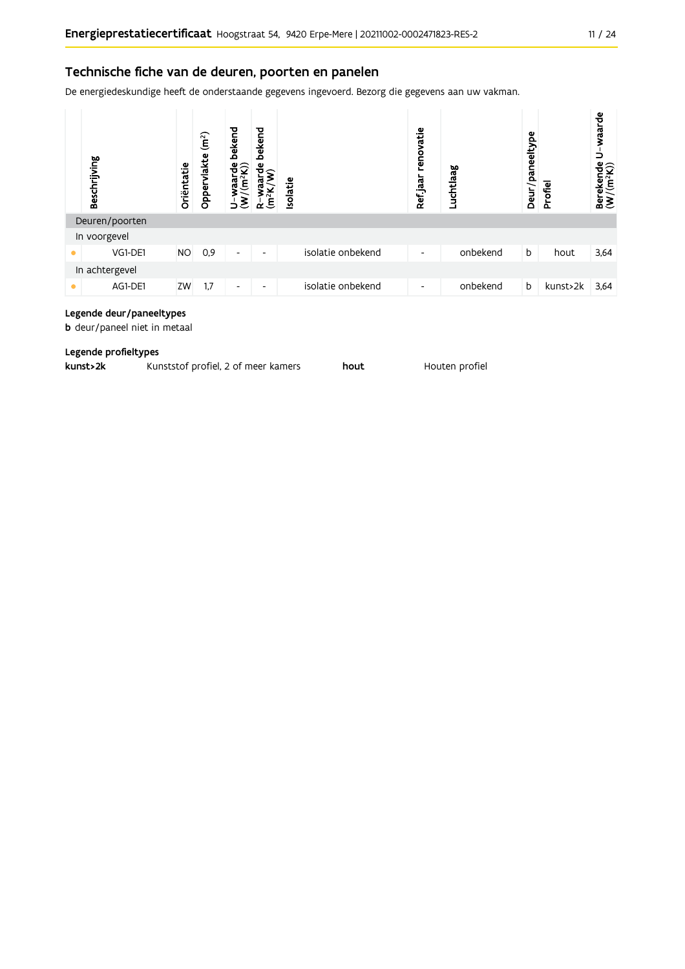De energiedeskundige heeft de onderstaande gegevens ingevoerd. Bezorg die gegevens aan uw vakman.



### Legende deur/paneeltypes

**b** deur/paneel niet in metaal

#### Legende profieltypes

| kunst>2k | Kunststof profiel, 2 of meer kamers |  | hout |
|----------|-------------------------------------|--|------|
|----------|-------------------------------------|--|------|

Houten profiel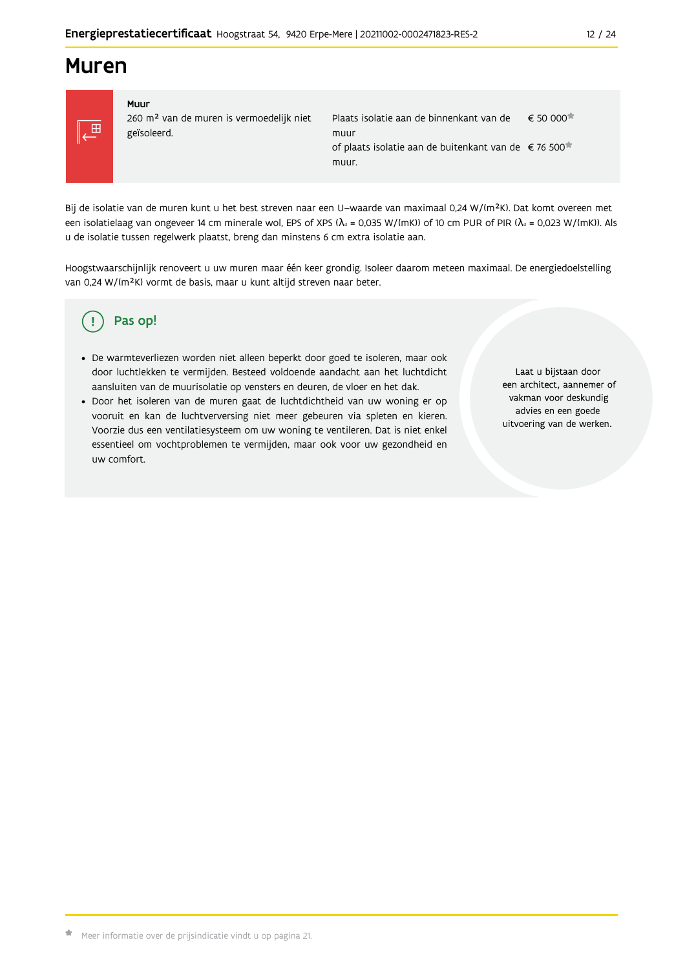## **Muren**



#### Muur 260 m<sup>2</sup> van de muren is vermoedelijk niet geïsoleerd.

Plaats isolatie aan de binnenkant van de  $\epsilon$  50 000 $\star$ muur of plaats isolatie aan de buitenkant van de €76 500<sup>★</sup> muur.

Bij de isolatie van de muren kunt u het best streven naar een U-waarde van maximaal 0,24 W/(m<sup>2</sup>K). Dat komt overeen met een isolatielaag van ongeveer 14 cm minerale wol, EPS of XPS ( $\lambda_a$  = 0,035 W/(mK)) of 10 cm PUR of PIR ( $\lambda_a$  = 0,023 W/(mK)). Als u de isolatie tussen regelwerk plaatst, breng dan minstens 6 cm extra isolatie aan.

Hoogstwaarschijnlijk renoveert u uw muren maar één keer grondig. Isoleer daarom meteen maximaal. De energiedoelstelling van 0,24 W/(m<sup>2</sup>K) vormt de basis, maar u kunt altijd streven naar beter.

#### Pas op! Ţ

- · De warmteverliezen worden niet alleen beperkt door goed te isoleren, maar ook door luchtlekken te vermijden. Besteed voldoende aandacht aan het luchtdicht aansluiten van de muurisolatie op vensters en deuren, de vloer en het dak.
- · Door het isoleren van de muren gaat de luchtdichtheid van uw woning er op vooruit en kan de luchtverversing niet meer gebeuren via spleten en kieren. Voorzie dus een ventilatiesysteem om uw woning te ventileren. Dat is niet enkel essentieel om vochtproblemen te vermijden, maar ook voor uw gezondheid en uw comfort.

Laat u bijstaan door een architect, aannemer of vakman voor deskundig advies en een goede uitvoering van de werken.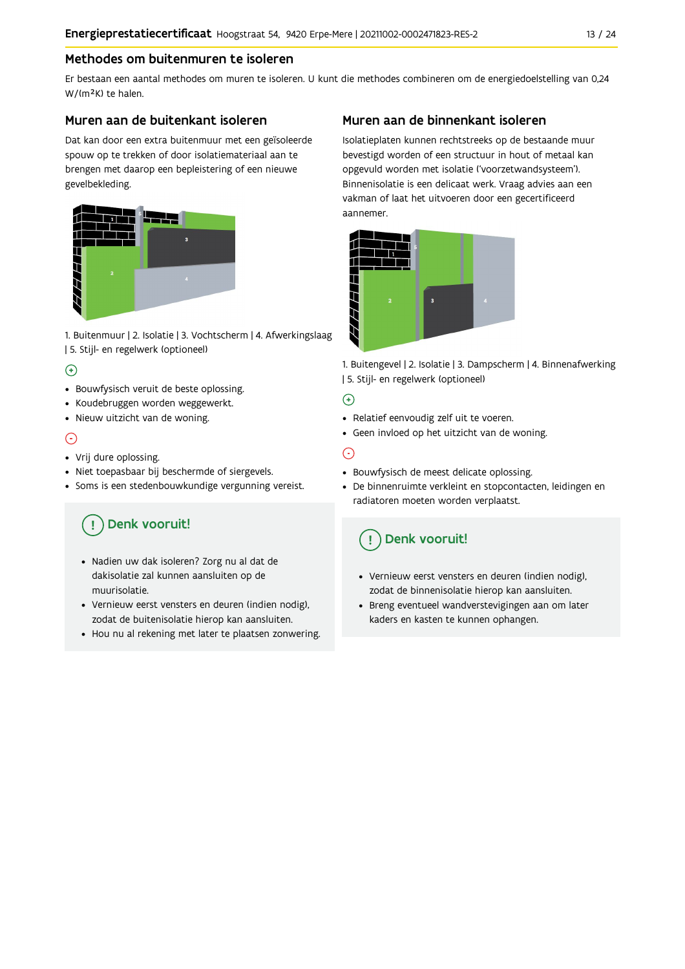### Methodes om buitenmuren te isoleren

Er bestaan een aantal methodes om muren te isoleren. U kunt die methodes combineren om de energiedoelstelling van 0,24 W/(m<sup>2</sup>K) te halen.

#### Muren aan de buitenkant isoleren

Dat kan door een extra buitenmuur met een geïsoleerde spouw op te trekken of door isolatiemateriaal aan te brengen met daarop een bepleistering of een nieuwe gevelbekleding.



1. Buitenmuur | 2. Isolatie | 3. Vochtscherm | 4. Afwerkingslaag | 5. Stijl- en regelwerk (optioneel)

### $\bigoplus$

- Bouwfysisch veruit de beste oplossing.
- Koudebruggen worden weggewerkt.
- · Nieuw uitzicht van de woning.

### $\odot$

#### • Vrij dure oplossing.

- · Niet toepasbaar bij beschermde of siergevels.
- Soms is een stedenbouwkundige vergunning vereist.

## Denk vooruit!

- · Nadien uw dak isoleren? Zorg nu al dat de dakisolatie zal kunnen aansluiten op de muurisolatie.
- · Vernieuw eerst vensters en deuren (indien nodig), zodat de buitenisolatie hierop kan aansluiten.
- Hou nu al rekening met later te plaatsen zonwering.

### Muren aan de binnenkant isoleren

Isolatieplaten kunnen rechtstreeks op de bestaande muur bevestigd worden of een structuur in hout of metaal kan opgevuld worden met isolatie ('voorzetwandsysteem'). Binnenisolatie is een delicaat werk. Vraag advies aan een vakman of laat het uitvoeren door een gecertificeerd aannemer



1. Buitengevel | 2. Isolatie | 3. Dampscherm | 4. Binnenafwerking | 5. Stijl- en regelwerk (optioneel)

#### $\bigoplus$

- Relatief eenvoudig zelf uit te voeren.
- Geen invloed op het uitzicht van de woning.

### ⊝

- Bouwfysisch de meest delicate oplossing.
- · De binnenruimte verkleint en stopcontacten, leidingen en radiatoren moeten worden verplaatst.

## Denk vooruit!

- Vernieuw eerst vensters en deuren (indien nodig), zodat de binnenisolatie hierop kan aansluiten.
- · Breng eventueel wandverstevigingen aan om later kaders en kasten te kunnen ophangen.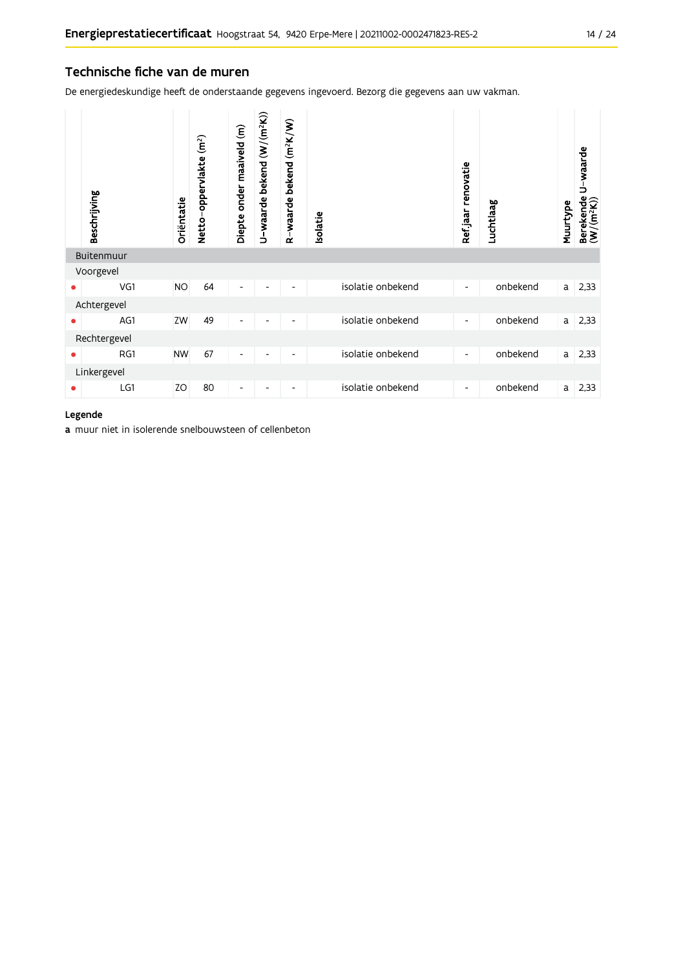#### Technische fiche van de muren

De energiedeskundige heeft de onderstaande gegevens ingevoerd. Bezorg die gegevens aan uw vakman.

|              | Beschrijving | Oriëntatie | Netto-oppervlakte (m <sup>2</sup> ) | Diepte onder maaiveld (m) | U-waarde bekend (W/(m <sup>2</sup> K)) | $(m^2K/W)$<br>R-waarde bekend | <b>Isolatie</b> |                   | Ref.jaar renovatie       | Luchtlaag | Muurtype | U-waarde<br>Berekende I<br>(W/(m <sup>2</sup> K)) |
|--------------|--------------|------------|-------------------------------------|---------------------------|----------------------------------------|-------------------------------|-----------------|-------------------|--------------------------|-----------|----------|---------------------------------------------------|
|              | Buitenmuur   |            |                                     |                           |                                        |                               |                 |                   |                          |           |          |                                                   |
|              | Voorgevel    |            |                                     |                           |                                        |                               |                 |                   |                          |           |          |                                                   |
| ٠            | VG1          | <b>NO</b>  | 64                                  | $\overline{\phantom{a}}$  |                                        |                               |                 | isolatie onbekend | $\overline{\phantom{a}}$ | onbekend  | a        | 2,33                                              |
|              | Achtergevel  |            |                                     |                           |                                        |                               |                 |                   |                          |           |          |                                                   |
| ۰            | AG1          | ZW         | 49                                  | $\overline{\phantom{a}}$  | $\overline{\phantom{0}}$               | $\overline{\phantom{a}}$      |                 | isolatie onbekend | $\overline{\phantom{a}}$ | onbekend  | a        | 2,33                                              |
| Rechtergevel |              |            |                                     |                           |                                        |                               |                 |                   |                          |           |          |                                                   |
| ٠            | RG1          | <b>NW</b>  | 67                                  | $\overline{\phantom{a}}$  | $\overline{\phantom{a}}$               | $\overline{\phantom{a}}$      |                 | isolatie onbekend | $\overline{\phantom{a}}$ | onbekend  | a        | 2,33                                              |
|              | Linkergevel  |            |                                     |                           |                                        |                               |                 |                   |                          |           |          |                                                   |
|              | LG1          | ZO         | 80                                  | $\overline{\phantom{a}}$  |                                        |                               |                 | isolatie onbekend | $\overline{\phantom{a}}$ | onbekend  | a        | 2,33                                              |

#### Legende

a muur niet in isolerende snelbouwsteen of cellenbeton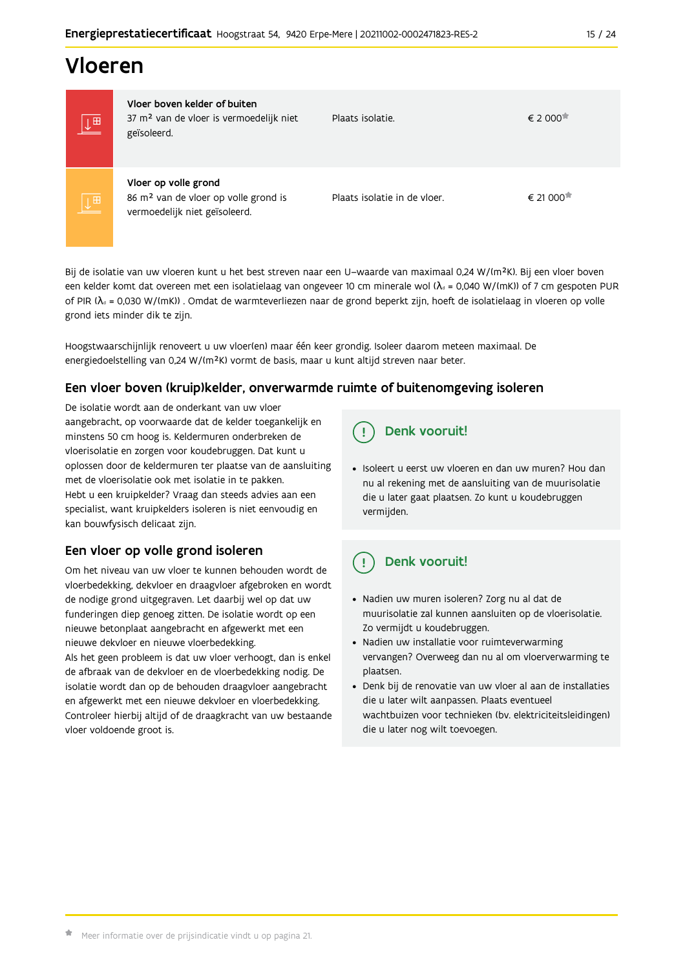## Vloeren

|                         | Vloer boven kelder of buiten                                                                              |                              |                                   |
|-------------------------|-----------------------------------------------------------------------------------------------------------|------------------------------|-----------------------------------|
| $\overline{\mathbb{F}}$ | 37 m <sup>2</sup> van de vloer is vermoedelijk niet<br>geïsoleerd.                                        | Plaats isolatie.             | € 2 000 <sup><math>π</math></sup> |
| 画                       | Vloer op volle grond<br>86 m <sup>2</sup> van de vloer op volle grond is<br>vermoedelijk niet geïsoleerd. | Plaats isolatie in de vloer. | € 21 000                          |

Bij de isolatie van uw vloeren kunt u het best streven naar een U-waarde van maximaal 0,24 W/(m<sup>2</sup>K). Bij een vloer boven een kelder komt dat overeen met een isolatielaag van ongeveer 10 cm minerale wol ( $\lambda_d$  = 0,040 W/(mK)) of 7 cm gespoten PUR of PIR ( $\lambda_4$  = 0,030 W/(mK)). Omdat de warmteverliezen naar de grond beperkt zijn, hoeft de isolatielaag in vloeren op volle grond iets minder dik te zijn.

Hoogstwaarschijnlijk renoveert u uw vloer(en) maar één keer grondig. Isoleer daarom meteen maximaal. De energiedoelstelling van 0,24 W/(m<sup>2</sup>K) vormt de basis, maar u kunt altijd streven naar beter.

### Een vloer boven (kruip) kelder, onverwarmde ruimte of buitenomgeving isoleren

De isolatie wordt aan de onderkant van uw vloer aangebracht, op voorwaarde dat de kelder toegankelijk en minstens 50 cm hoog is. Keldermuren onderbreken de vloerisolatie en zorgen voor koudebruggen. Dat kunt u oplossen door de keldermuren ter plaatse van de aansluiting met de vloerisolatie ook met isolatie in te pakken. Hebt u een kruipkelder? Vraag dan steeds advies aan een specialist, want kruipkelders isoleren is niet eenvoudig en kan bouwfysisch delicaat zijn.

### Een vloer op volle grond isoleren

Om het niveau van uw vloer te kunnen behouden wordt de vloerbedekking, dekvloer en draagvloer afgebroken en wordt de nodige grond uitgegraven. Let daarbij wel op dat uw funderingen diep genoeg zitten. De isolatie wordt op een nieuwe betonplaat aangebracht en afgewerkt met een nieuwe dekvloer en nieuwe vloerbedekking.

Als het geen probleem is dat uw vloer verhoogt, dan is enkel de afbraak van de dekvloer en de vloerbedekking nodig. De isolatie wordt dan op de behouden draagvloer aangebracht en afgewerkt met een nieuwe dekvloer en vloerbedekking. Controleer hierbij altijd of de draagkracht van uw bestaande vloer voldoende groot is.

## Denk vooruit!

· Isoleert u eerst uw vloeren en dan uw muren? Hou dan nu al rekening met de aansluiting van de muurisolatie die u later gaat plaatsen. Zo kunt u koudebruggen vermijden.

#### Denk vooruit! Ţ

- · Nadien uw muren isoleren? Zorg nu al dat de muurisolatie zal kunnen aansluiten op de vloerisolatie. Zo vermijdt u koudebruggen.
- Nadien uw installatie voor ruimteverwarming vervangen? Overweeg dan nu al om vloerverwarming te plaatsen.
- · Denk bij de renovatie van uw vloer al aan de installaties die u later wilt aanpassen. Plaats eventueel wachtbuizen voor technieken (bv. elektriciteitsleidingen) die u later nog wilt toevoegen.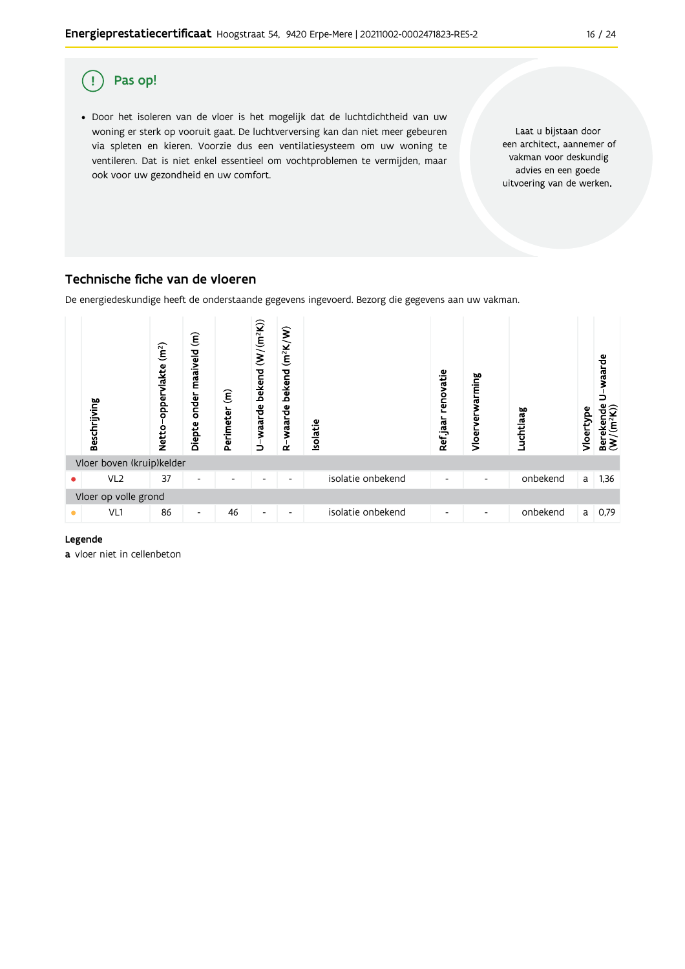

### Technische fiche van de vloeren

De energiedeskundige heeft de onderstaande gegevens ingevoerd. Bezorg die gegevens aan uw vakman.



#### Legende

a vloer niet in cellenbeton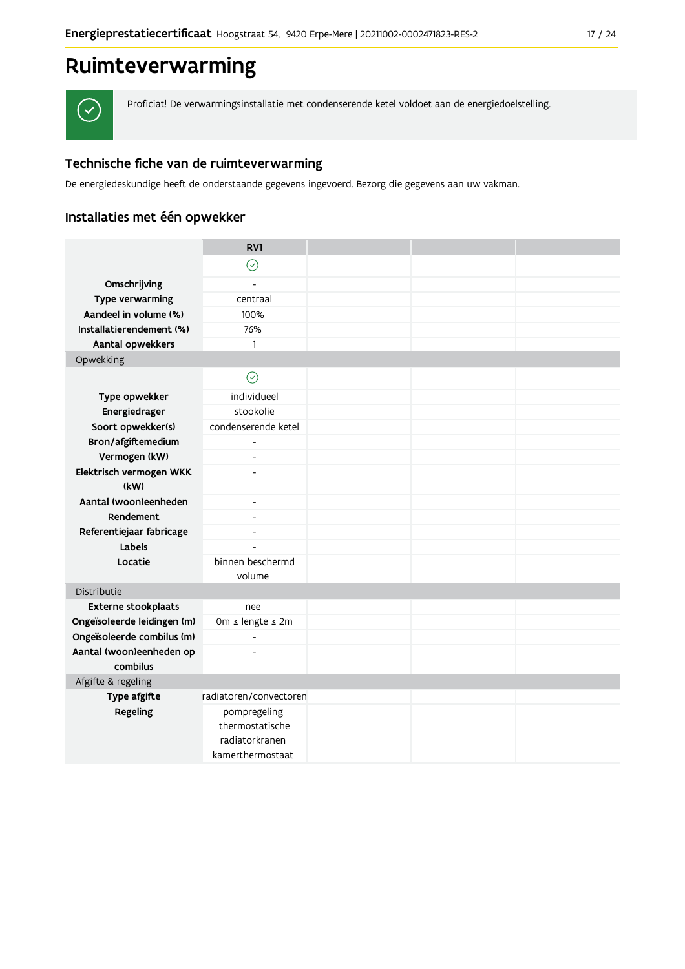#### $17 / 24$

## Ruimteverwarming



Proficiat! De verwarmingsinstallatie met condenserende ketel voldoet aan de energiedoelstelling.

### Technische fiche van de ruimteverwarming

De energiedeskundige heeft de onderstaande gegevens ingevoerd. Bezorg die gegevens aan uw vakman.

### Installaties met één opwekker

|                                 | RV1                                                                   |  |  |
|---------------------------------|-----------------------------------------------------------------------|--|--|
|                                 | $\odot$                                                               |  |  |
| Omschrijving                    | $\overline{a}$                                                        |  |  |
| Type verwarming                 | centraal                                                              |  |  |
| Aandeel in volume (%)           | 100%                                                                  |  |  |
| Installatierendement (%)        | 76%                                                                   |  |  |
| Aantal opwekkers                | $\mathbf{1}$                                                          |  |  |
| Opwekking                       |                                                                       |  |  |
|                                 | $\odot$                                                               |  |  |
| Type opwekker                   | individueel                                                           |  |  |
| Energiedrager                   | stookolie                                                             |  |  |
| Soort opwekker(s)               | condenserende ketel                                                   |  |  |
| Bron/afgiftemedium              | $\overline{\phantom{a}}$                                              |  |  |
| Vermogen (kW)                   | $\overline{a}$                                                        |  |  |
| Elektrisch vermogen WKK<br>(kW) |                                                                       |  |  |
| Aantal (woon)eenheden           | $\overline{\phantom{a}}$                                              |  |  |
| Rendement                       | $\overline{\phantom{a}}$                                              |  |  |
| Referentiejaar fabricage        | $\blacksquare$                                                        |  |  |
| Labels                          | $\overline{a}$                                                        |  |  |
| Locatie                         | binnen beschermd                                                      |  |  |
|                                 | volume                                                                |  |  |
| Distributie                     |                                                                       |  |  |
| <b>Externe stookplaats</b>      | nee                                                                   |  |  |
| Ongeïsoleerde leidingen (m)     | Om ≤ lengte ≤ 2m                                                      |  |  |
| Ongeïsoleerde combilus (m)      | $\overline{\phantom{a}}$                                              |  |  |
| Aantal (woon)eenheden op        | $\overline{a}$                                                        |  |  |
| combilus                        |                                                                       |  |  |
| Afgifte & regeling              |                                                                       |  |  |
| Type afgifte                    | radiatoren/convectoren                                                |  |  |
| Regeling                        | pompregeling<br>thermostatische<br>radiatorkranen<br>kamerthermostaat |  |  |
|                                 |                                                                       |  |  |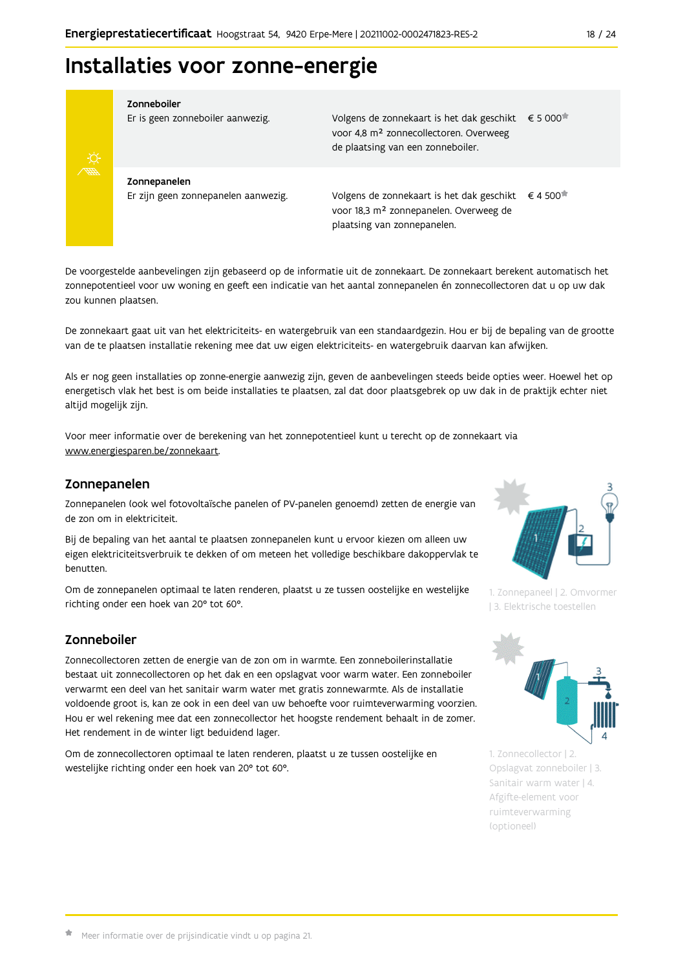

#### Zonneboiler

Er is geen zonneboiler aanwezig.

Volgens de zonnekaart is het dak geschikt € 5 000 voor 4,8 m<sup>2</sup> zonnecollectoren. Overweeg de plaatsing van een zonneboiler.

Zonnepanelen Er zijn geen zonnepanelen aanwezig.

Volgens de zonnekaart is het dak geschikt  $\epsilon$  4 500<sup> $\star$ </sup> voor 18,3 m<sup>2</sup> zonnepanelen. Overweeg de plaatsing van zonnepanelen.

De voorgestelde aanbevelingen zijn gebaseerd op de informatie uit de zonnekaart. De zonnekaart berekent automatisch het zonnepotentieel voor uw woning en geeft een indicatie van het aantal zonnepanelen én zonnecollectoren dat u op uw dak zou kunnen plaatsen.

De zonnekaart gaat uit van het elektriciteits- en watergebruik van een standaardgezin. Hou er bij de bepaling van de grootte van de te plaatsen installatie rekening mee dat uw eigen elektriciteits- en watergebruik daarvan kan afwijken.

Als er nog geen installaties op zonne-energie aanwezig zijn, geven de aanbevelingen steeds beide opties weer. Hoewel het op energetisch vlak het best is om beide installaties te plaatsen, zal dat door plaatsgebrek op uw dak in de praktijk echter niet altijd mogelijk zijn.

Voor meer informatie over de berekening van het zonnepotentieel kunt u terecht op de zonnekaart via www.energiesparen.be/zonnekaart.

#### Zonnepanelen

Zonnepanelen (ook wel fotovoltaïsche panelen of PV-panelen genoemd) zetten de energie van de zon om in elektriciteit.

Bij de bepaling van het aantal te plaatsen zonnepanelen kunt u ervoor kiezen om alleen uw eigen elektriciteitsverbruik te dekken of om meteen het volledige beschikbare dakoppervlak te henutten

Om de zonnepanelen optimaal te laten renderen, plaatst u ze tussen oostelijke en westelijke richting onder een hoek van 20° tot 60°.

### Zonneboiler

Zonnecollectoren zetten de energie van de zon om in warmte. Een zonneboilerinstallatie bestaat uit zonnecollectoren op het dak en een opslagvat voor warm water. Een zonneboiler verwarmt een deel van het sanitair warm water met gratis zonnewarmte. Als de installatie voldoende groot is, kan ze ook in een deel van uw behoefte voor ruimteverwarming voorzien. Hou er wel rekening mee dat een zonnecollector het hoogste rendement behaalt in de zomer. Het rendement in de winter ligt beduidend lager.

Om de zonnecollectoren optimaal te laten renderen, plaatst u ze tussen oostelijke en westelijke richting onder een hoek van 20° tot 60°.



1. Zonnepaneel | 2. Omvormer | 3. Elektrische toestellen



1. Zonnecollector | 2. Opslagvat zonneboiler | 3. Sanitair warm water | 4. Afgifte-element voor ruimteverwarming (optioneel)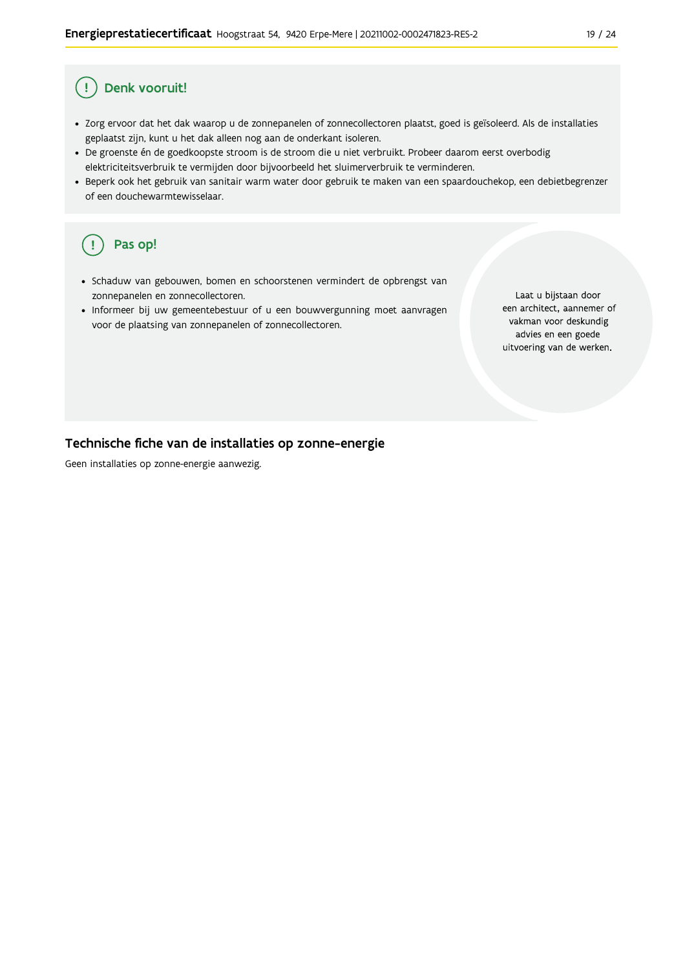#### Ţ Denk vooruit!

- · Zorg ervoor dat het dak waarop u de zonnepanelen of zonnecollectoren plaatst, goed is geïsoleerd. Als de installaties geplaatst zijn, kunt u het dak alleen nog aan de onderkant isoleren.
- · De groenste én de goedkoopste stroom is de stroom die u niet verbruikt. Probeer daarom eerst overbodig elektriciteitsverbruik te vermijden door bijvoorbeeld het sluimerverbruik te verminderen.
- · Beperk ook het gebruik van sanitair warm water door gebruik te maken van een spaardouchekop, een debietbegrenzer of een douchewarmtewisselaar.

#### Pas op! ( !

- · Schaduw van gebouwen, bomen en schoorstenen vermindert de opbrengst van zonnepanelen en zonnecollectoren.
- Informeer bij uw gemeentebestuur of u een bouwvergunning moet aanvragen voor de plaatsing van zonnepanelen of zonnecollectoren.

Laat u bijstaan door een architect, aannemer of vakman voor deskundig advies en een goede uitvoering van de werken.

#### Technische fiche van de installaties op zonne-energie

Geen installaties op zonne-energie aanwezig.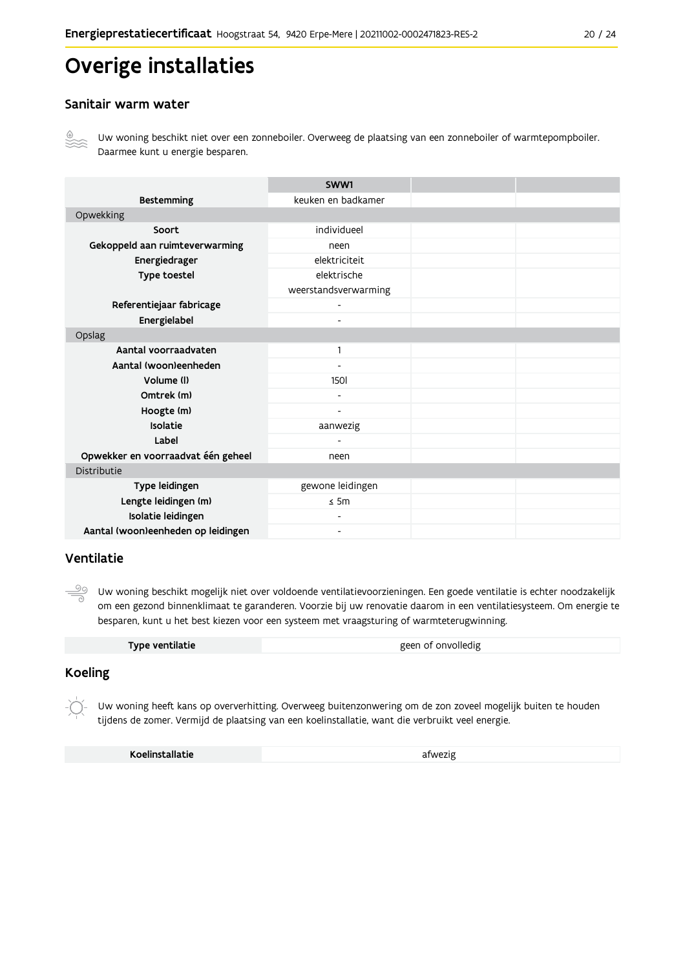## Overige installaties

#### Sanitair warm water



Uw woning beschikt niet over een zonneboiler. Overweeg de plaatsing van een zonneboiler of warmtepompboiler. Daarmee kunt u energie besparen.

|                                    | SWW1                     |  |
|------------------------------------|--------------------------|--|
| <b>Bestemming</b>                  | keuken en badkamer       |  |
| Opwekking                          |                          |  |
| Soort                              | individueel              |  |
| Gekoppeld aan ruimteverwarming     | neen                     |  |
| Energiedrager                      | elektriciteit            |  |
| Type toestel                       | elektrische              |  |
|                                    | weerstandsverwarming     |  |
| Referentiejaar fabricage           | $\overline{a}$           |  |
| Energielabel                       | $\overline{\phantom{0}}$ |  |
| Opslag                             |                          |  |
| Aantal voorraadvaten               | 1                        |  |
| Aantal (woon)eenheden              |                          |  |
| Volume (I)                         | <b>1501</b>              |  |
| Omtrek (m)                         |                          |  |
| Hoogte (m)                         |                          |  |
| Isolatie                           | aanwezig                 |  |
| Label                              |                          |  |
| Opwekker en voorraadvat één geheel | neen                     |  |
| Distributie                        |                          |  |
| Type leidingen                     | gewone leidingen         |  |
| Lengte leidingen (m)               | $\leq$ 5m                |  |
| Isolatie leidingen                 |                          |  |
| Aantal (woon)eenheden op leidingen | Ξ.                       |  |

#### Ventilatie

 $\frac{50}{2}$ Uw woning beschikt mogelijk niet over voldoende ventilatievoorzieningen. Een goede ventilatie is echter noodzakelijk om een gezond binnenklimaat te garanderen. Voorzie bij uw renovatie daarom in een ventilatiesysteem. Om energie te besparen, kunt u het best kiezen voor een systeem met vraagsturing of warmteterugwinning.

| Type ventilatie | geen of onvolledig |
|-----------------|--------------------|
|-----------------|--------------------|

### **Koeling**

Uw woning heeft kans op oververhitting. Overweeg buitenzonwering om de zon zoveel mogelijk buiten te houden tijdens de zomer. Vermijd de plaatsing van een koelinstallatie, want die verbruikt veel energie.

Koelinstallatie

afwezig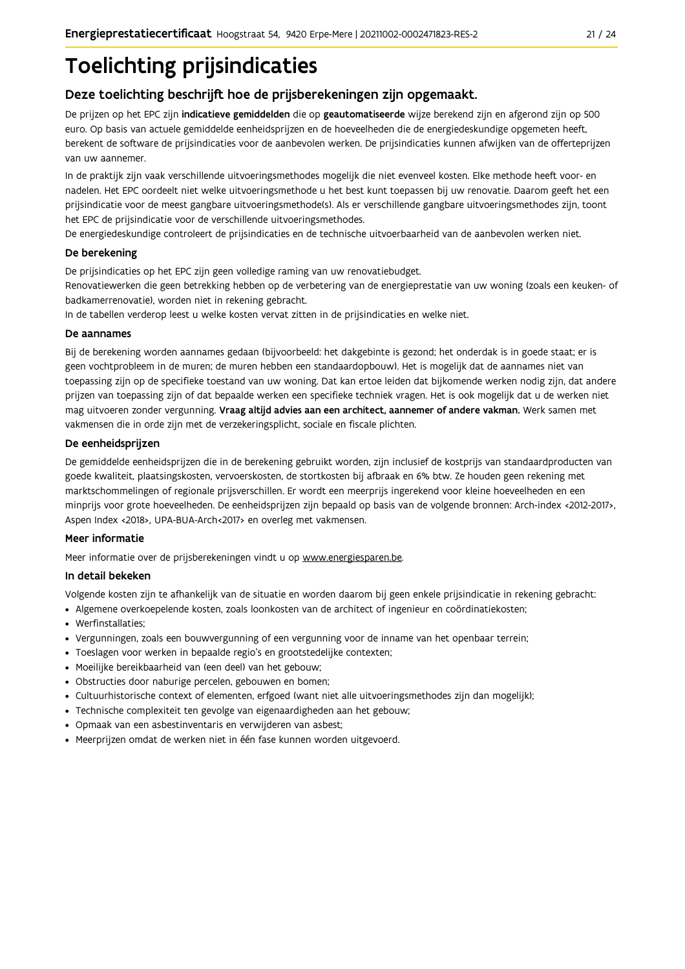## **Toelichting prijsindicaties**

### Deze toelichting beschrijft hoe de prijsberekeningen zijn opgemaakt.

De prijzen op het EPC zijn indicatieve gemiddelden die op geautomatiseerde wijze berekend zijn en afgerond zijn op 500 euro. Op basis van actuele gemiddelde eenheidsprijzen en de hoeveelheden die de energiedeskundige opgemeten heeft, berekent de software de prijsindicaties voor de aanbevolen werken. De prijsindicaties kunnen afwijken van de offerteprijzen van uw aannemer.

In de praktijk zijn vaak verschillende uitvoeringsmethodes mogelijk die niet evenveel kosten. Elke methode heeft voor- en nadelen. Het EPC oordeelt niet welke uitvoeringsmethode u het best kunt toepassen bij uw renovatie. Daarom geeft het een prijsindicatie voor de meest gangbare uitvoeringsmethode(s). Als er verschillende gangbare uitvoeringsmethodes zijn, toont het EPC de prijsindicatie voor de verschillende uitvoeringsmethodes.

De energiedeskundige controleert de prijsindicaties en de technische uitvoerbaarheid van de aanbevolen werken niet.

#### De berekening

De prijsindicaties op het EPC zijn geen volledige raming van uw renovatiebudget.

Renovatiewerken die geen betrekking hebben op de verbetering van de energieprestatie van uw woning (zoals een keuken- of badkamerrenovatie), worden niet in rekening gebracht.

In de tabellen verderop leest u welke kosten vervat zitten in de prijsindicaties en welke niet.

#### De aannames

Bij de berekening worden aannames gedaan (bijvoorbeeld: het dakgebinte is gezond; het onderdak is in goede staat; er is geen vochtprobleem in de muren; de muren hebben een standaardopbouw). Het is mogelijk dat de aannames niet van toepassing zijn op de specifieke toestand van uw woning. Dat kan ertoe leiden dat bijkomende werken nodig zijn, dat andere prijzen van toepassing zijn of dat bepaalde werken een specifieke techniek vragen. Het is ook mogelijk dat u de werken niet mag uitvoeren zonder vergunning. Vraag altijd advies aan een architect, aannemer of andere vakman. Werk samen met vakmensen die in orde zijn met de verzekeringsplicht, sociale en fiscale plichten.

#### De eenheidsprijzen

De gemiddelde eenheidspriizen die in de berekening gebruikt worden, zijn inclusief de kostpriis van standaardproducten van goede kwaliteit, plaatsingskosten, vervoerskosten, de stortkosten bij afbraak en 6% btw. Ze houden geen rekening met marktschommelingen of regionale prijsverschillen. Er wordt een meerprijs ingerekend voor kleine hoeveelheden en een minprijs voor grote hoeveelheden. De eenheidsprijzen zijn bepaald op basis van de volgende bronnen: Arch-index <2012-2017>, Aspen Index <2018>, UPA-BUA-Arch<2017> en overleg met vakmensen.

#### Meer informatie

Meer informatie over de prijsberekeningen vindt u op www.energiesparen.be.

#### In detail bekeken

Volgende kosten zijn te afhankelijk van de situatie en worden daarom bij geen enkele prijsindicatie in rekening gebracht:

- · Algemene overkoepelende kosten, zoals loonkosten van de architect of ingenieur en coördinatiekosten;
- Werfinstallaties:
- · Vergunningen, zoals een bouwvergunning of een vergunning voor de inname van het openbaar terrein;
- Toeslagen voor werken in bepaalde regio's en grootstedelijke contexten:
- · Moeilijke bereikbaarheid van (een deel) van het gebouw;
- · Obstructies door naburige percelen, gebouwen en bomen;
- · Cultuurhistorische context of elementen, erfgoed (want niet alle uitvoeringsmethodes zijn dan mogelijk);
- · Technische complexiteit ten gevolge van eigenaardigheden aan het gebouw;
- · Opmaak van een asbestinventaris en verwijderen van asbest;
- · Meerprijzen omdat de werken niet in één fase kunnen worden uitgevoerd.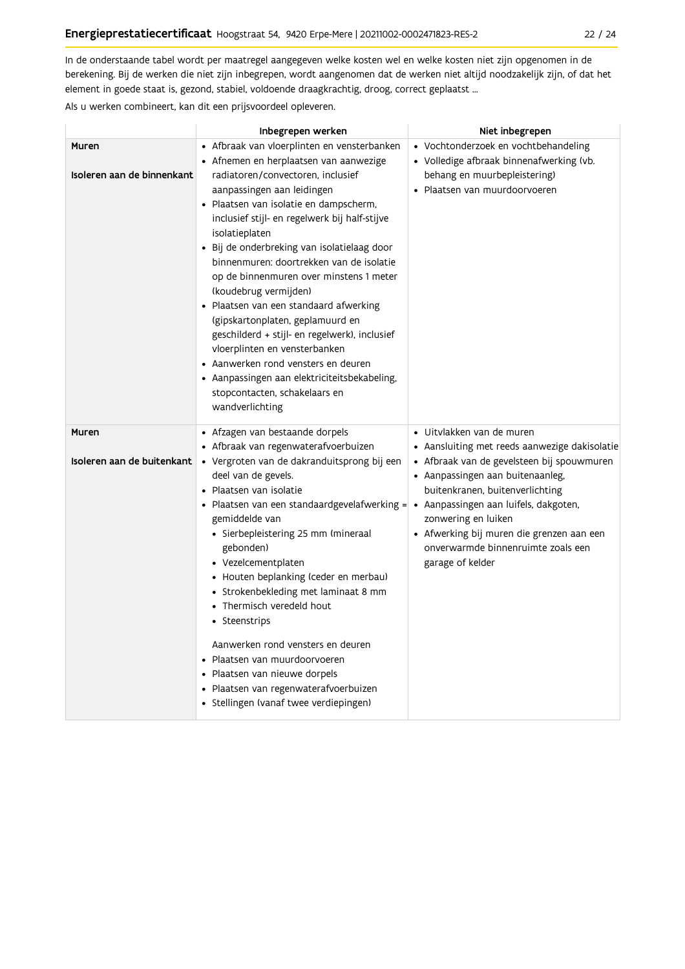In de onderstaande tabel wordt per maatregel aangegeven welke kosten wel en welke kosten niet zijn opgenomen in de berekening. Bij de werken die niet zijn inbegrepen, wordt aangenomen dat de werken niet altijd noodzakelijk zijn, of dat het element in goede staat is, gezond, stabiel, voldoende draagkrachtig, droog, correct geplaatst ...

Als u werken combineert, kan dit een prijsvoordeel opleveren.

|                                     | Inbegrepen werken                                                                                                                                                                                                                                                                                                                                                                                                                                                                                                                                                                                                                                                                                                            | Niet inbegrepen                                                                                                                                                                                                                                                                                                                                                                |
|-------------------------------------|------------------------------------------------------------------------------------------------------------------------------------------------------------------------------------------------------------------------------------------------------------------------------------------------------------------------------------------------------------------------------------------------------------------------------------------------------------------------------------------------------------------------------------------------------------------------------------------------------------------------------------------------------------------------------------------------------------------------------|--------------------------------------------------------------------------------------------------------------------------------------------------------------------------------------------------------------------------------------------------------------------------------------------------------------------------------------------------------------------------------|
| Muren<br>Isoleren aan de binnenkant | • Afbraak van vloerplinten en vensterbanken<br>• Afnemen en herplaatsen van aanwezige<br>radiatoren/convectoren, inclusief<br>aanpassingen aan leidingen<br>• Plaatsen van isolatie en dampscherm,<br>inclusief stijl- en regelwerk bij half-stijve<br>isolatieplaten<br>· Bij de onderbreking van isolatielaag door<br>binnenmuren: doortrekken van de isolatie<br>op de binnenmuren over minstens 1 meter<br>(koudebrug vermijden)<br>• Plaatsen van een standaard afwerking<br>(gipskartonplaten, geplamuurd en<br>geschilderd + stijl- en regelwerk), inclusief<br>vloerplinten en vensterbanken<br>• Aanwerken rond vensters en deuren<br>• Aanpassingen aan elektriciteitsbekabeling,<br>stopcontacten, schakelaars en | • Vochtonderzoek en vochtbehandeling<br>· Volledige afbraak binnenafwerking (vb.<br>behang en muurbepleistering)<br>• Plaatsen van muurdoorvoeren                                                                                                                                                                                                                              |
| Muren<br>Isoleren aan de buitenkant | wandverlichting<br>• Afzagen van bestaande dorpels<br>· Afbraak van regenwaterafvoerbuizen<br>• Vergroten van de dakranduitsprong bij een<br>deel van de gevels.<br>• Plaatsen van isolatie<br>• Plaatsen van een standaardgevelafwerking = $\vert$<br>gemiddelde van<br>· Sierbepleistering 25 mm (mineraal<br>gebonden)<br>• Vezelcementplaten<br>• Houten beplanking (ceder en merbau)<br>$\bullet$ Strokenbekleding met laminaat 8 mm<br>• Thermisch veredeld hout<br>• Steenstrips<br>Aanwerken rond vensters en deuren<br>• Plaatsen van muurdoorvoeren<br>• Plaatsen van nieuwe dorpels<br>• Plaatsen van regenwaterafvoerbuizen<br>• Stellingen (vanaf twee verdiepingen)                                            | · Uitvlakken van de muren<br>• Aansluiting met reeds aanwezige dakisolatie<br>• Afbraak van de gevelsteen bij spouwmuren<br>• Aanpassingen aan buitenaanleg,<br>buitenkranen, buitenverlichting<br>$\bullet$ Aanpassingen aan luifels, dakgoten,<br>zonwering en luiken<br>• Afwerking bij muren die grenzen aan een<br>onverwarmde binnenruimte zoals een<br>garage of kelder |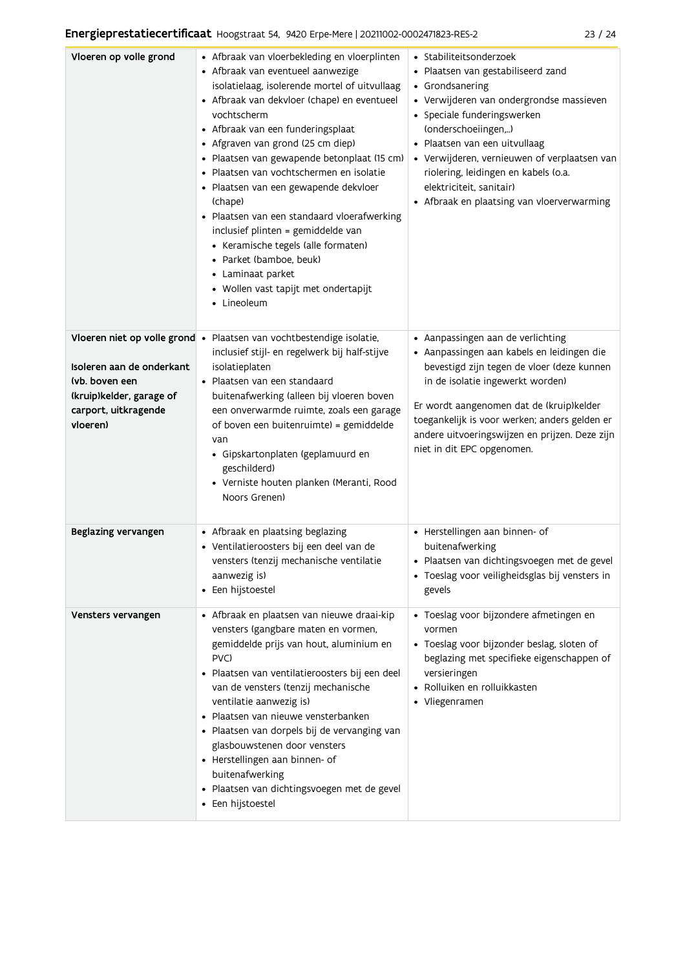| Vloeren op volle grond                                       | • Afbraak van vloerbekleding en vloerplinten<br>• Afbraak van eventueel aanwezige<br>isolatielaag, isolerende mortel of uitvullaag<br>• Afbraak van dekvloer (chape) en eventueel<br>vochtscherm<br>• Afbraak van een funderingsplaat<br>• Afgraven van grond (25 cm diep)<br>· Plaatsen van gewapende betonplaat (15 cm)<br>· Plaatsen van vochtschermen en isolatie<br>· Plaatsen van een gewapende dekvloer<br>(chape)<br>· Plaatsen van een standaard vloerafwerking<br>inclusief plinten = gemiddelde van<br>• Keramische tegels (alle formaten)<br>· Parket (bamboe, beuk)<br>• Laminaat parket<br>• Wollen vast tapijt met ondertapijt<br>• Lineoleum | • Stabiliteitsonderzoek<br>· Plaatsen van gestabiliseerd zand<br>• Grondsanering<br>• Verwijderen van ondergrondse massieven<br>• Speciale funderingswerken<br>(onderschoeiingen,)<br>· Plaatsen van een uitvullaag<br>• Verwijderen, vernieuwen of verplaatsen van<br>riolering, leidingen en kabels (o.a.<br>elektriciteit, sanitair)<br>• Afbraak en plaatsing van vloerverwarming |
|--------------------------------------------------------------|--------------------------------------------------------------------------------------------------------------------------------------------------------------------------------------------------------------------------------------------------------------------------------------------------------------------------------------------------------------------------------------------------------------------------------------------------------------------------------------------------------------------------------------------------------------------------------------------------------------------------------------------------------------|---------------------------------------------------------------------------------------------------------------------------------------------------------------------------------------------------------------------------------------------------------------------------------------------------------------------------------------------------------------------------------------|
| Isoleren aan de onderkant<br>(vb. boven een                  | Vloeren niet op volle grond • Plaatsen van vochtbestendige isolatie,<br>inclusief stijl- en regelwerk bij half-stijve<br>isolatieplaten<br>• Plaatsen van een standaard                                                                                                                                                                                                                                                                                                                                                                                                                                                                                      | • Aanpassingen aan de verlichting<br>· Aanpassingen aan kabels en leidingen die<br>bevestigd zijn tegen de vloer (deze kunnen<br>in de isolatie ingewerkt worden)                                                                                                                                                                                                                     |
| (kruip)kelder, garage of<br>carport, uitkragende<br>vloeren) | buitenafwerking (alleen bij vloeren boven<br>een onverwarmde ruimte, zoals een garage<br>of boven een buitenruimte) = gemiddelde<br>van<br>· Gipskartonplaten (geplamuurd en<br>geschilderd)<br>· Verniste houten planken (Meranti, Rood<br>Noors Grenen)                                                                                                                                                                                                                                                                                                                                                                                                    | Er wordt aangenomen dat de (kruip)kelder<br>toegankelijk is voor werken; anders gelden er<br>andere uitvoeringswijzen en prijzen. Deze zijn<br>niet in dit EPC opgenomen.                                                                                                                                                                                                             |
| Beglazing vervangen                                          | • Afbraak en plaatsing beglazing<br>· Ventilatieroosters bij een deel van de<br>vensters (tenzij mechanische ventilatie<br>aanwezig is)<br>• Een hijstoestel                                                                                                                                                                                                                                                                                                                                                                                                                                                                                                 | • Herstellingen aan binnen- of<br>buitenafwerking<br>· Plaatsen van dichtingsvoegen met de gevel<br>· Toeslag voor veiligheidsglas bij vensters in<br>gevels                                                                                                                                                                                                                          |
| Vensters vervangen                                           | · Afbraak en plaatsen van nieuwe draai-kip<br>vensters (gangbare maten en vormen,<br>gemiddelde prijs van hout, aluminium en<br>PVC)<br>· Plaatsen van ventilatieroosters bij een deel<br>van de vensters (tenzij mechanische<br>ventilatie aanwezig is)<br>· Plaatsen van nieuwe vensterbanken<br>· Plaatsen van dorpels bij de vervanging van<br>glasbouwstenen door vensters<br>• Herstellingen aan binnen- of<br>buitenafwerking<br>· Plaatsen van dichtingsvoegen met de gevel<br>• Een hijstoestel                                                                                                                                                     | · Toeslag voor bijzondere afmetingen en<br>vormen<br>• Toeslag voor bijzonder beslag, sloten of<br>beglazing met specifieke eigenschappen of<br>versieringen<br>· Rolluiken en rolluikkasten<br>• Vliegenramen                                                                                                                                                                        |